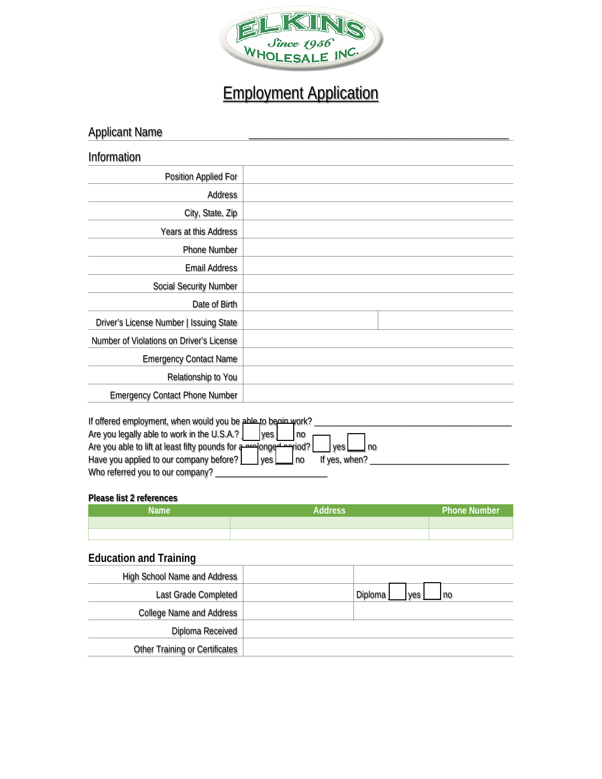

## Employment Application

| <b>Applicant Name</b>                                               |           |
|---------------------------------------------------------------------|-----------|
| Information                                                         |           |
| Position Applied For                                                |           |
| Address                                                             |           |
| City, State, Zip                                                    |           |
| Years at this Address                                               |           |
| Phone Number                                                        |           |
| <b>Email Address</b>                                                |           |
| <b>Social Security Number</b>                                       |           |
| Date of Birth                                                       |           |
| Driver's License Number   Issuing State                             |           |
| Number of Violations on Driver's License                            |           |
| <b>Emergency Contact Name</b>                                       |           |
| Relationship to You                                                 |           |
| <b>Emergency Contact Phone Number</b>                               |           |
| If offered employment, when would you be able to begain work?       |           |
| Are you legally able to work in the U.S.A.?                         | ves<br>no |
| Are you able to lift at least fifty pounds for a pre-longed pariod? | yes<br>no |

## **Please list 2 references**

Who referred you to our company? \_\_\_\_\_\_\_\_\_\_\_\_\_\_\_\_\_\_\_\_\_\_\_\_\_

| <b>Name</b> | <b>Address</b> | <b>Phone Number</b> |
|-------------|----------------|---------------------|
|             |                |                     |
|             |                |                     |

Have you applied to our company before? [\_\_\_\_] yes [\_\_\_\_] no If yes, when? \_\_\_\_\_\_\_\_\_\_\_\_\_\_\_\_\_\_\_\_\_\_\_\_\_\_\_\_\_\_\_\_\_

## **Education and Training**

| High School Name and Address          |                        |
|---------------------------------------|------------------------|
| Last Grade Completed                  | Diploma<br>ves<br>l no |
| <b>College Name and Address</b>       |                        |
| Diploma Received                      |                        |
| <b>Other Training or Certificates</b> |                        |